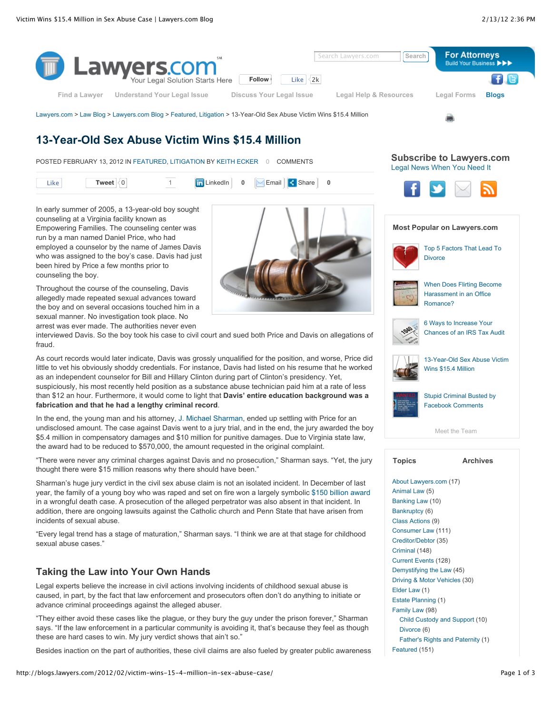

# **13-Year-Old Sex Abuse Victim Wins \$15.4 Million**

POSTED FEBRUARY 13, 2012 IN FEATURED, LITIGATION BY KEITH ECKER 0 COMMENTS



In early summer of 2005, a 13-year-old boy sought counseling at a Virginia facility known as Empowering Families. The counseling center was run by a man named Daniel Price, who had employed a counselor by the name of James Davis who was assigned to the boy's case. Davis had just been hired by Price a few months prior to counseling the boy.

Throughout the course of the counseling, Davis allegedly made repeated sexual advances toward the boy and on several occasions touched him in a sexual manner. No investigation took place. No arrest was ever made. The authorities never even

interviewed Davis. So the boy took his case to civil court and sued both Price and Davis on allegations of fraud.

As court records would later indicate, Davis was grossly unqualified for the position, and worse, Price did little to vet his obviously shoddy credentials. For instance, Davis had listed on his resume that he worked as an independent counselor for Bill and Hillary Clinton during part of Clinton's presidency. Yet, suspiciously, his most recently held position as a substance abuse technician paid him at a rate of less than \$12 an hour. Furthermore, it would come to light that **Davis' entire education background was a fabrication and that he had a lengthy criminal record**.

In the end, the young man and his attorney, J. Michael Sharman, ended up settling with Price for an undisclosed amount. The case against Davis went to a jury trial, and in the end, the jury awarded the boy \$5.4 million in compensatory damages and \$10 million for punitive damages. Due to Virginia state law, the award had to be reduced to \$570,000, the amount requested in the original complaint.

"There were never any criminal charges against Davis and no prosecution," Sharman says. "Yet, the jury thought there were \$15 million reasons why there should have been."

Sharman's huge jury verdict in the civil sex abuse claim is not an isolated incident. In December of last year, the family of a young boy who was raped and set on fire won a largely symbolic \$150 billion award in a wrongful death case. A prosecution of the alleged perpetrator was also absent in that incident. In addition, there are ongoing lawsuits against the Catholic church and Penn State that have arisen from incidents of sexual abuse.

"Every legal trend has a stage of maturation," Sharman says. "I think we are at that stage for childhood sexual abuse cases."

## **Taking the Law into Your Own Hands**

Legal experts believe the increase in civil actions involving incidents of childhood sexual abuse is caused, in part, by the fact that law enforcement and prosecutors often don't do anything to initiate or advance criminal proceedings against the alleged abuser.

"They either avoid these cases like the plague, or they bury the guy under the prison forever," Sharman says. "If the law enforcement in a particular community is avoiding it, that's because they feel as though these are hard cases to win. My jury verdict shows that ain't so."

Besides inaction on the part of authorities, these civil claims are also fueled by greater public awareness

**Subscribe to Lawyers.com** Legal News When You Need It



## **Most Popular on Lawyers.com**



Top 5 Factors That Lead To **Divorce** 



When Does Flirting Become Harassment in an Office Romance?



6 Ways to Increase Your Chances of an IRS Tax Audit



13-Year-Old Sex Abuse Victim Wins \$15.4 Million



Stupid Criminal Busted by Facebook Comments

Meet the Team

## **Topics Archives**

About Lawyers.com (17) Animal Law (5) Banking Law (10) Bankruptcy (6) Class Actions (9) Consumer Law (111) Creditor/Debtor (35) Criminal (148) Current Events (128) Demystifying the Law (45) Driving & Motor Vehicles (30) Elder Law (1) Estate Planning (1) Family Law (98) Child Custody and Support (10) Divorce (6) Father's Rights and Paternity (1) Featured (151)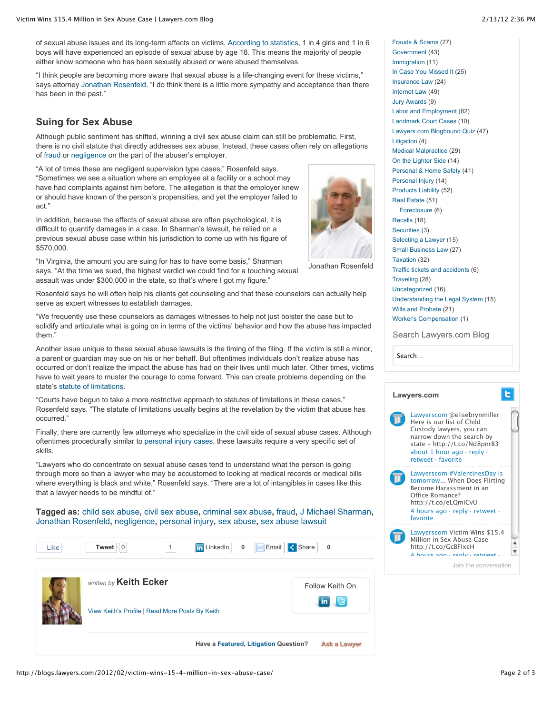of sexual abuse issues and its long-term affects on victims. According to statistics, 1 in 4 girls and 1 in 6 boys will have experienced an episode of sexual abuse by age 18. This means the majority of people either know someone who has been sexually abused or were abused themselves.

"I think people are becoming more aware that sexual abuse is a life-changing event for these victims," says attorney Jonathan Rosenfeld. "I do think there is a little more sympathy and acceptance than there has been in the past."

## **Suing for Sex Abuse**

Although public sentiment has shifted, winning a civil sex abuse claim can still be problematic. First, there is no civil statute that directly addresses sex abuse. Instead, these cases often rely on allegations of fraud or negligence on the part of the abuser's employer.

"A lot of times these are negligent supervision type cases," Rosenfeld says. "Sometimes we see a situation where an employee at a facility or a school may have had complaints against him before. The allegation is that the employer knew or should have known of the person's propensities, and yet the employer failed to act."

In addition, because the effects of sexual abuse are often psychological, it is difficult to quantify damages in a case. In Sharman's lawsuit, he relied on a previous sexual abuse case within his jurisdiction to come up with his figure of \$570,000.



"In Virginia, the amount you are suing for has to have some basis," Sharman says. "At the time we sued, the highest verdict we could find for a touching sexual assault was under \$300,000 in the state, so that's where I got my figure."

Rosenfeld says he will often help his clients get counseling and that these counselors can actually help serve as expert witnesses to establish damages.

"We frequently use these counselors as damages witnesses to help not just bolster the case but to solidify and articulate what is going on in terms of the victims' behavior and how the abuse has impacted them."

Another issue unique to these sexual abuse lawsuits is the timing of the filing. If the victim is still a minor, a parent or guardian may sue on his or her behalf. But oftentimes individuals don't realize abuse has occurred or don't realize the impact the abuse has had on their lives until much later. Other times, victims have to wait years to muster the courage to come forward. This can create problems depending on the state's statute of limitations.

"Courts have begun to take a more restrictive approach to statutes of limitations in these cases," Rosenfeld says. "The statute of limitations usually begins at the revelation by the victim that abuse has occurred."

Finally, there are currently few attorneys who specialize in the civil side of sexual abuse cases. Although oftentimes procedurally similar to personal injury cases, these lawsuits require a very specific set of skills.

"Lawyers who do concentrate on sexual abuse cases tend to understand what the person is going through more so than a lawyer who may be accustomed to looking at medical records or medical bills where everything is black and white," Rosenfeld says. "There are a lot of intangibles in cases like this that a lawyer needs to be mindful of."

**Tagged as:** child sex abuse**,** civil sex abuse**,** criminal sex abuse**,** fraud**,** J Michael Sharman**,** Jonathan Rosenfeld**,** negligence**,** personal injury**,** sex abuse**,** sex abuse lawsuit



Insurance Law (24) Internet Law (49) Jury Awards (9) Labor and Employment (82) Landmark Court Cases (10) Lawyers.com Bloghound Quiz (47) Litigation (4) Medical Malpractice (29) On the Lighter Side (14) Personal & Home Safety (41) Personal Injury (14) Products Liability (52) Real Estate (51) Foreclosure (6) Recalls (18) Securities (3) Selecting a Lawyer (15) Small Business Law (27) Taxation (32) Traffic tickets and accidents (6) Traveling (28) Uncategorized (16) Understanding the Legal System (15) Wills and Probate (21)

Frauds & Scams (27) Government (43) Immigration (11) In Case You Missed It (25)

Search Lawyers.com Blog

Worker's Compensation (1)

Search…